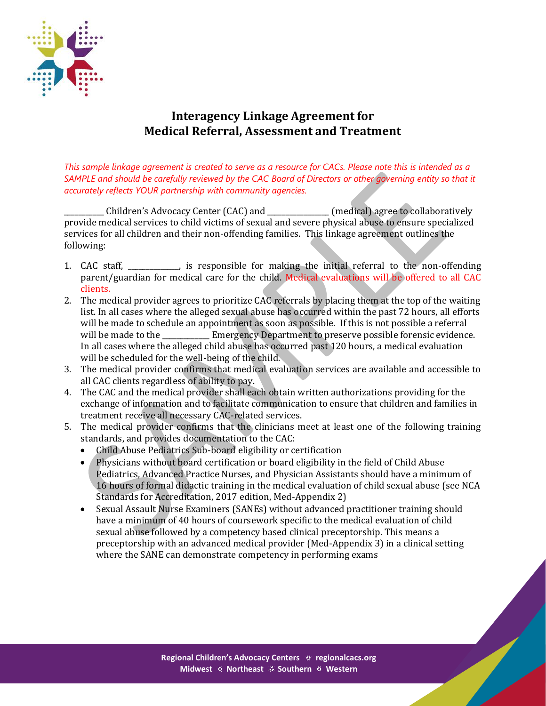

## **Interagency Linkage Agreement for Medical Referral, Assessment and Treatment**

*This sample linkage agreement is created to serve as a resource for CACs. Please note this is intended as a SAMPLE and should be carefully reviewed by the CAC Board of Directors or other governing entity so that it accurately reflects YOUR partnership with community agencies.*

\_\_\_\_\_\_\_\_\_\_\_ Children's Advocacy Center (CAC) and \_\_\_\_\_\_\_\_\_\_\_\_\_\_\_\_\_ (medical) agree to collaboratively provide medical services to child victims of sexual and severe physical abuse to ensure specialized services for all children and their non-offending families. This linkage agreement outlines the following:

- 1. CAC staff, The substitution is responsible for making the initial referral to the non-offending parent/guardian for medical care for the child. Medical evaluations will be offered to all CAC clients.
- 2. The medical provider agrees to prioritize CAC referrals by placing them at the top of the waiting list. In all cases where the alleged sexual abuse has occurred within the past 72 hours, all efforts will be made to schedule an appointment as soon as possible. If this is not possible a referral will be made to the **EMEL** Emergency Department to preserve possible forensic evidence. In all cases where the alleged child abuse has occurred past 120 hours, a medical evaluation will be scheduled for the well-being of the child.
- 3. The medical provider confirms that medical evaluation services are available and accessible to all CAC clients regardless of ability to pay.
- 4. The CAC and the medical provider shall each obtain written authorizations providing for the exchange of information and to facilitate communication to ensure that children and families in treatment receive all necessary CAC-related services.
- 5. The medical provider confirms that the clinicians meet at least one of the following training standards, and provides documentation to the CAC:
	- Child Abuse Pediatrics Sub-board eligibility or certification
	- Physicians without board certification or board eligibility in the field of Child Abuse Pediatrics, Advanced Practice Nurses, and Physician Assistants should have a minimum of 16 hours of formal didactic training in the medical evaluation of child sexual abuse (see NCA Standards for Accreditation, 2017 edition, Med-Appendix 2)
	- Sexual Assault Nurse Examiners (SANEs) without advanced practitioner training should have a minimum of 40 hours of coursework specific to the medical evaluation of child sexual abuse followed by a competency based clinical preceptorship. This means a preceptorship with an advanced medical provider (Med-Appendix 3) in a clinical setting where the SANE can demonstrate competency in performing exams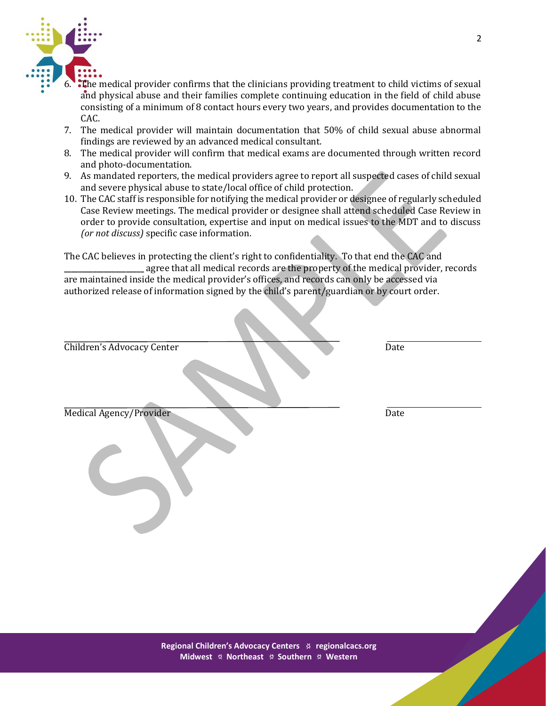

- **The medical provider confirms that the clinicians providing treatment to child victims of sexual** and physical abuse and their families complete continuing education in the field of child abuse consisting of a minimum of 8 contact hours every two years, and provides documentation to the CAC.
- 7. The medical provider will maintain documentation that 50% of child sexual abuse abnormal findings are reviewed by an advanced medical consultant.
- 8. The medical provider will confirm that medical exams are documented through written record and photo-documentation.
- 9. As mandated reporters, the medical providers agree to report all suspected cases of child sexual and severe physical abuse to state/local office of child protection.
- 10. The CAC staff is responsible for notifying the medical provider or designee of regularly scheduled Case Review meetings. The medical provider or designee shall attend scheduled Case Review in order to provide consultation, expertise and input on medical issues to the MDT and to discuss *(or not discuss)* specific case information.

The CAC believes in protecting the client's right to confidentiality. To that end the CAC and agree that all medical records are the property of the medical provider, records are maintained inside the medical provider's offices, and records can only be accessed via authorized release of information signed by the child's parent/guardian or by court order.

| <b>Children's Advocacy Center</b> | Date |  |
|-----------------------------------|------|--|
| Medical Agency/Provider           | Date |  |